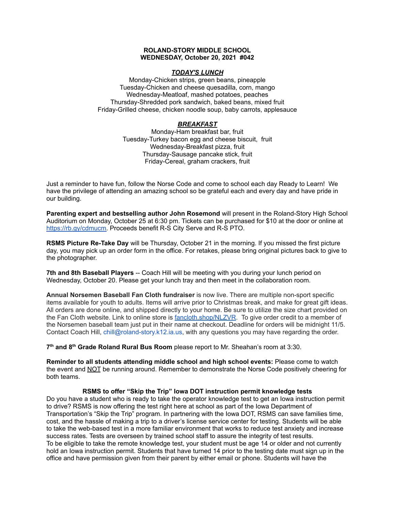### **ROLAND-STORY MIDDLE SCHOOL WEDNESDAY, October 20, 2021 #042**

### *TODAY'S LUNCH*

Monday-Chicken strips, green beans, pineapple Tuesday-Chicken and cheese quesadilla, corn, mango Wednesday-Meatloaf, mashed potatoes, peaches Thursday-Shredded pork sandwich, baked beans, mixed fruit Friday-Grilled cheese, chicken noodle soup, baby carrots, applesauce

# *BREAKFAST*

Monday-Ham breakfast bar, fruit Tuesday-Turkey bacon egg and cheese biscuit, fruit Wednesday-Breakfast pizza, fruit Thursday-Sausage pancake stick, fruit Friday-Cereal, graham crackers, fruit

Just a reminder to have fun, follow the Norse Code and come to school each day Ready to Learn! We have the privilege of attending an amazing school so be grateful each and every day and have pride in our building.

**Parenting expert and bestselling author John Rosemond** will present in the Roland-Story High School Auditorium on Monday, October 25 at 6:30 pm. Tickets can be purchased for \$10 at the door or online at [https://rb.gy/cdmucm.](https://rb.gy/cdmucm) Proceeds benefit R-S City Serve and R-S PTO.

**RSMS Picture Re-Take Day** will be Thursday, October 21 in the morning. If you missed the first picture day, you may pick up an order form in the office. For retakes, please bring original pictures back to give to the photographer.

**7th and 8th Baseball Players** -- Coach Hill will be meeting with you during your lunch period on Wednesday, October 20. Please get your lunch tray and then meet in the collaboration room.

**Annual Norsemen Baseball Fan Cloth fundraiser** is now live. There are multiple non-sport specific items available for youth to adults. Items will arrive prior to Christmas break, and make for great gift ideas. All orders are done online, and shipped directly to your home. Be sure to utilize the size chart provided on the Fan Cloth website. Link to online store is [fancloth.shop/NLZVR.](http://fancloth.shop/NLZVR) To give order credit to a member of the Norsemen baseball team just put in their name at checkout. Deadline for orders will be midnight 11/5. Contact Coach Hill, chill@roland-story.k12.ia.us, with any questions you may have regarding the order.

**7 th and 8 th Grade Roland Rural Bus Room** please report to Mr. Sheahan's room at 3:30.

**Reminder to all students attending middle school and high school events:** Please come to watch the event and NOT be running around. Remember to demonstrate the Norse Code positively cheering for both teams.

### **RSMS to offer "Skip the Trip" Iowa DOT instruction permit knowledge tests**

Do you have a student who is ready to take the operator knowledge test to get an Iowa instruction permit to drive? RSMS is now offering the test right here at school as part of the Iowa Department of Transportation's "Skip the Trip" program. In partnering with the Iowa DOT, RSMS can save families time, cost, and the hassle of making a trip to a driver's license service center for testing. Students will be able to take the web-based test in a more familiar environment that works to reduce test anxiety and increase success rates. Tests are overseen by trained school staff to assure the integrity of test results. To be eligible to take the remote knowledge test, your student must be age 14 or older and not currently hold an Iowa instruction permit. Students that have turned 14 prior to the testing date must sign up in the office and have permission given from their parent by either email or phone. Students will have the